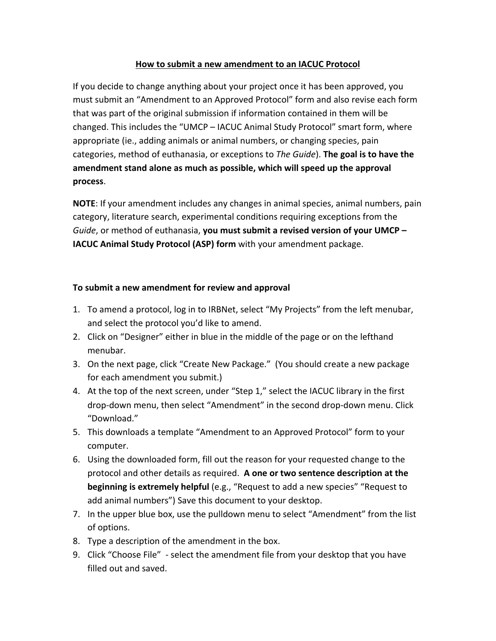## How to submit a new amendment to an IACUC Protocol

If you decide to change anything about your project once it has been approved, you must submit an "Amendment to an Approved Protocol" form and also revise each form that was part of the original submission if information contained in them will be changed. This includes the "UMCP - IACUC Animal Study Protocol" smart form, where appropriate (ie., adding animals or animal numbers, or changing species, pain categories, method of euthanasia, or exceptions to *The Guide*). **The goal is to have the** amendment stand alone as much as possible, which will speed up the approval **process**. 

**NOTE:** If your amendment includes any changes in animal species, animal numbers, pain category, literature search, experimental conditions requiring exceptions from the *Guide*, or method of euthanasia, you must submit a revised version of your UMCP – **IACUC Animal Study Protocol (ASP) form** with your amendment package.

## **To submit a new amendment for review and approval**

- 1. To amend a protocol, log in to IRBNet, select "My Projects" from the left menubar, and select the protocol you'd like to amend.
- 2. Click on "Designer" either in blue in the middle of the page or on the lefthand menubar.
- 3. On the next page, click "Create New Package." (You should create a new package for each amendment you submit.)
- 4. At the top of the next screen, under "Step 1," select the IACUC library in the first drop-down menu, then select "Amendment" in the second drop-down menu. Click "Download."
- 5. This downloads a template "Amendment to an Approved Protocol" form to your computer.
- 6. Using the downloaded form, fill out the reason for your requested change to the protocol and other details as required. A one or two sentence description at the **beginning is extremely helpful** (e.g., "Request to add a new species" "Request to add animal numbers") Save this document to your desktop.
- 7. In the upper blue box, use the pulldown menu to select "Amendment" from the list of options.
- 8. Type a description of the amendment in the box.
- 9. Click "Choose File" select the amendment file from your desktop that you have filled out and saved.